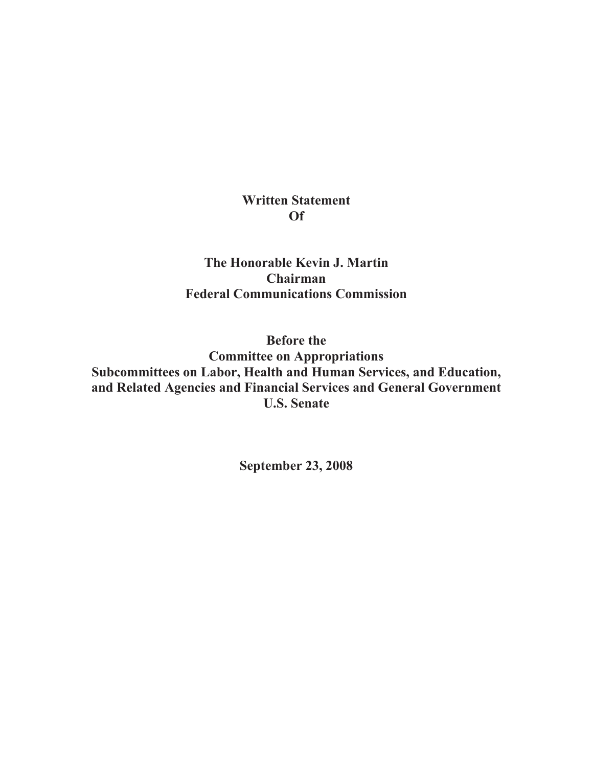## **Written Statement Of**

**The Honorable Kevin J. Martin Chairman Federal Communications Commission**

**Before the Committee on Appropriations Subcommittees on Labor, Health and Human Services, and Education, and Related Agencies and Financial Services and General Government U.S. Senate**

**September 23, 2008**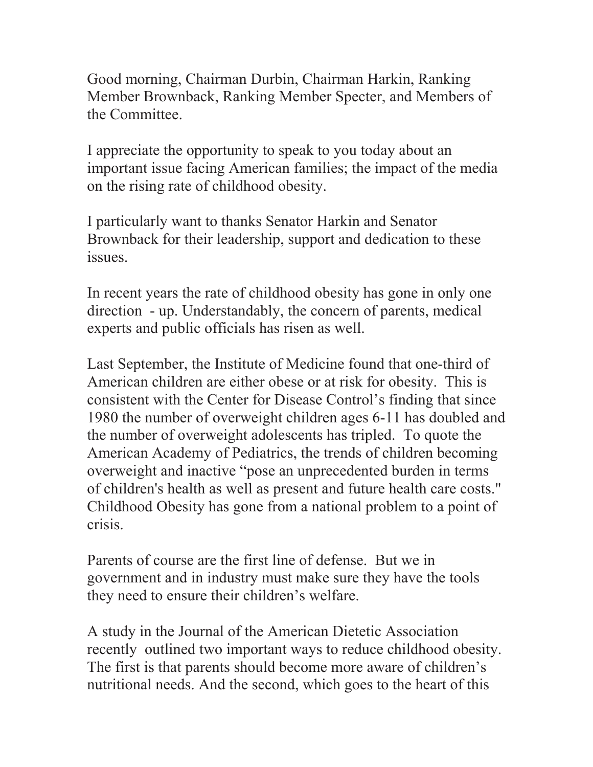Good morning, Chairman Durbin, Chairman Harkin, Ranking Member Brownback, Ranking Member Specter, and Members of the Committee.

I appreciate the opportunity to speak to you today about an important issue facing American families; the impact of the media on the rising rate of childhood obesity.

I particularly want to thanks Senator Harkin and Senator Brownback for their leadership, support and dedication to these issues.

In recent years the rate of childhood obesity has gone in only one direction - up. Understandably, the concern of parents, medical experts and public officials has risen as well.

Last September, the Institute of Medicine found that one-third of American children are either obese or at risk for obesity. This is consistent with the Center for Disease Control's finding that since 1980 the number of overweight children ages 6-11 has doubled and the number of overweight adolescents has tripled. To quote the American Academy of Pediatrics, the trends of children becoming overweight and inactive "pose an unprecedented burden in terms of children's health as well as present and future health care costs." Childhood Obesity has gone from a national problem to a point of crisis.

Parents of course are the first line of defense. But we in government and in industry must make sure they have the tools they need to ensure their children's welfare.

A study in the Journal of the American Dietetic Association recently outlined two important ways to reduce childhood obesity. The first is that parents should become more aware of children's nutritional needs. And the second, which goes to the heart of this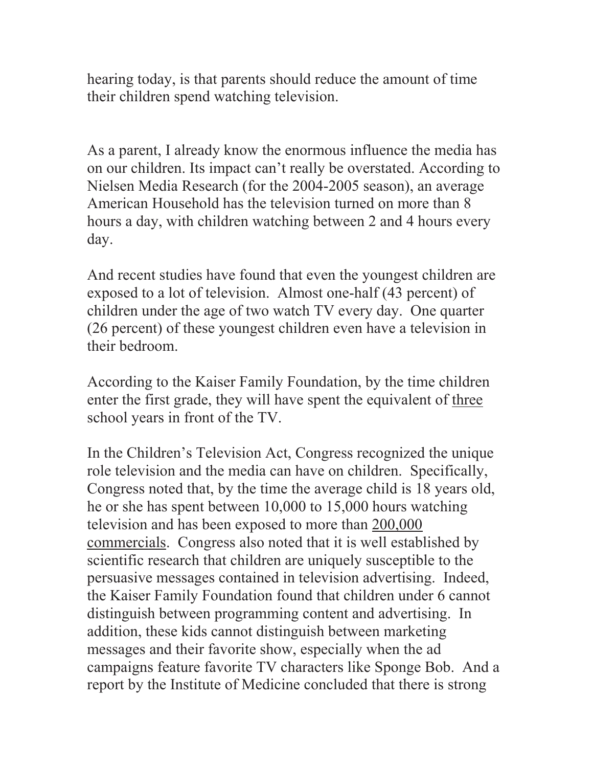hearing today, is that parents should reduce the amount of time their children spend watching television.

As a parent, I already know the enormous influence the media has on our children. Its impact can't really be overstated. According to Nielsen Media Research (for the 2004-2005 season), an average American Household has the television turned on more than 8 hours a day, with children watching between 2 and 4 hours every day.

And recent studies have found that even the youngest children are exposed to a lot of television. Almost one-half (43 percent) of children under the age of two watch TV every day. One quarter (26 percent) of these youngest children even have a television in their bedroom.

According to the Kaiser Family Foundation, by the time children enter the first grade, they will have spent the equivalent of three school years in front of the TV.

In the Children's Television Act, Congress recognized the unique role television and the media can have on children. Specifically, Congress noted that, by the time the average child is 18 years old, he or she has spent between 10,000 to 15,000 hours watching television and has been exposed to more than 200,000 commercials. Congress also noted that it is well established by scientific research that children are uniquely susceptible to the persuasive messages contained in television advertising. Indeed, the Kaiser Family Foundation found that children under 6 cannot distinguish between programming content and advertising. In addition, these kids cannot distinguish between marketing messages and their favorite show, especially when the ad campaigns feature favorite TV characters like Sponge Bob. And a report by the Institute of Medicine concluded that there is strong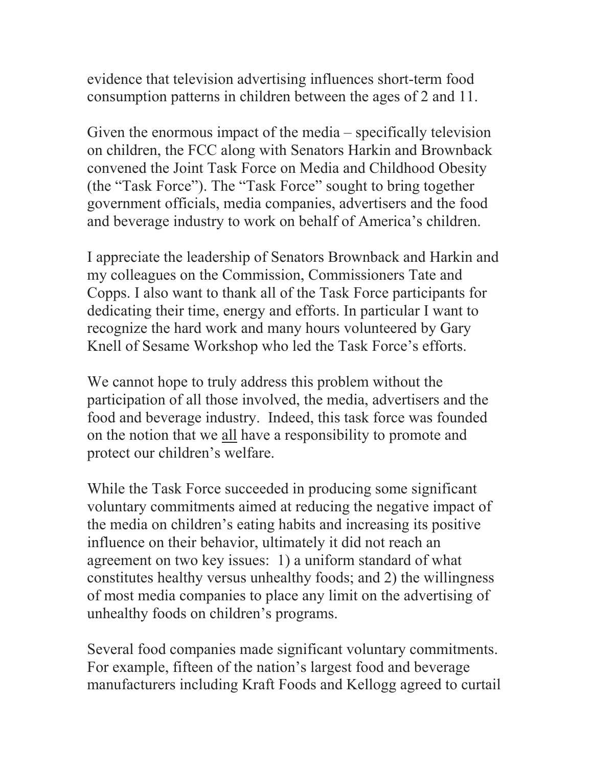evidence that television advertising influences short-term food consumption patterns in children between the ages of 2 and 11.

Given the enormous impact of the media – specifically television on children, the FCC along with Senators Harkin and Brownback convened the Joint Task Force on Media and Childhood Obesity (the "Task Force"). The "Task Force" sought to bring together government officials, media companies, advertisers and the food and beverage industry to work on behalf of America's children.

I appreciate the leadership of Senators Brownback and Harkin and my colleagues on the Commission, Commissioners Tate and Copps. I also want to thank all of the Task Force participants for dedicating their time, energy and efforts. In particular I want to recognize the hard work and many hours volunteered by Gary Knell of Sesame Workshop who led the Task Force's efforts.

We cannot hope to truly address this problem without the participation of all those involved, the media, advertisers and the food and beverage industry. Indeed, this task force was founded on the notion that we all have a responsibility to promote and protect our children's welfare.

While the Task Force succeeded in producing some significant voluntary commitments aimed at reducing the negative impact of the media on children's eating habits and increasing its positive influence on their behavior, ultimately it did not reach an agreement on two key issues: 1) a uniform standard of what constitutes healthy versus unhealthy foods; and 2) the willingness of most media companies to place any limit on the advertising of unhealthy foods on children's programs.

Several food companies made significant voluntary commitments. For example, fifteen of the nation's largest food and beverage manufacturers including Kraft Foods and Kellogg agreed to curtail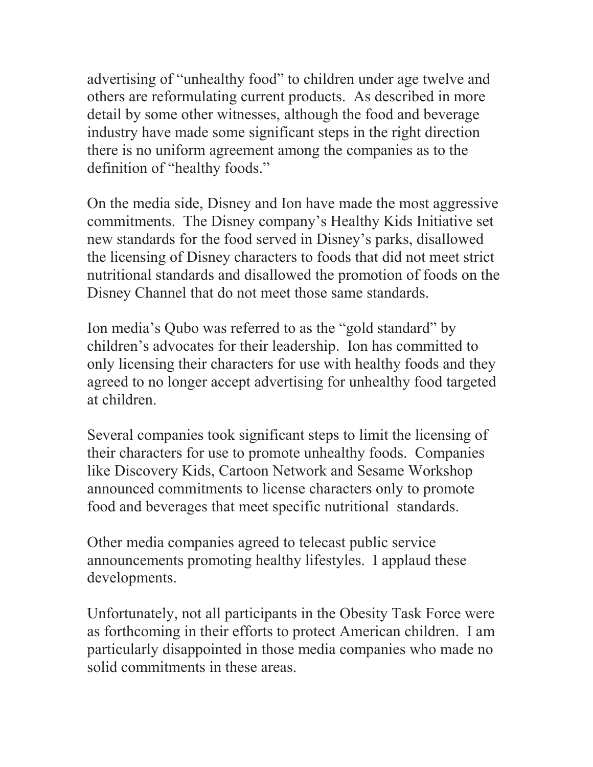advertising of "unhealthy food" to children under age twelve and others are reformulating current products. As described in more detail by some other witnesses, although the food and beverage industry have made some significant steps in the right direction there is no uniform agreement among the companies as to the definition of "healthy foods."

On the media side, Disney and Ion have made the most aggressive commitments. The Disney company's Healthy Kids Initiative set new standards for the food served in Disney's parks, disallowed the licensing of Disney characters to foods that did not meet strict nutritional standards and disallowed the promotion of foods on the Disney Channel that do not meet those same standards.

Ion media's Qubo was referred to as the "gold standard" by children's advocates for their leadership. Ion has committed to only licensing their characters for use with healthy foods and they agreed to no longer accept advertising for unhealthy food targeted at children.

Several companies took significant steps to limit the licensing of their characters for use to promote unhealthy foods. Companies like Discovery Kids, Cartoon Network and Sesame Workshop announced commitments to license characters only to promote food and beverages that meet specific nutritional standards.

Other media companies agreed to telecast public service announcements promoting healthy lifestyles. I applaud these developments.

Unfortunately, not all participants in the Obesity Task Force were as forthcoming in their efforts to protect American children. I am particularly disappointed in those media companies who made no solid commitments in these areas.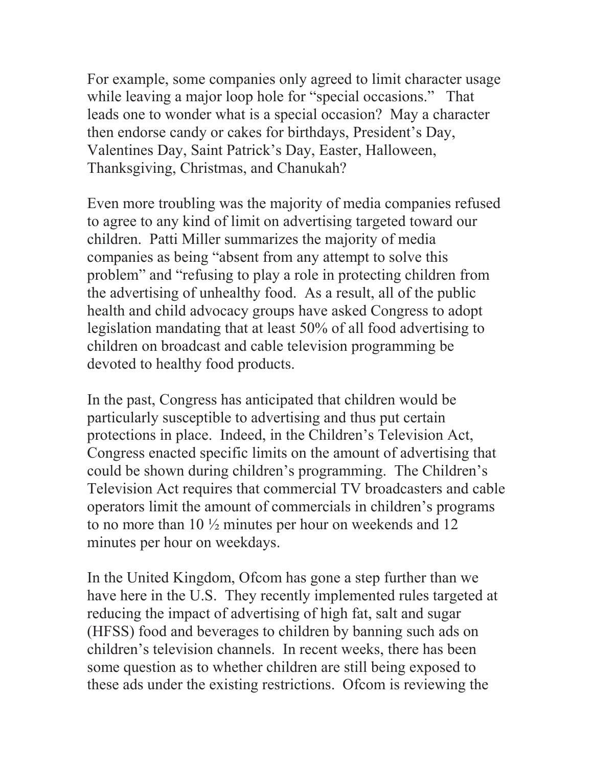For example, some companies only agreed to limit character usage while leaving a major loop hole for "special occasions." That leads one to wonder what is a special occasion? May a character then endorse candy or cakes for birthdays, President's Day, Valentines Day, Saint Patrick's Day, Easter, Halloween, Thanksgiving, Christmas, and Chanukah?

Even more troubling was the majority of media companies refused to agree to any kind of limit on advertising targeted toward our children. Patti Miller summarizes the majority of media companies as being "absent from any attempt to solve this problem" and "refusing to play a role in protecting children from the advertising of unhealthy food. As a result, all of the public health and child advocacy groups have asked Congress to adopt legislation mandating that at least 50% of all food advertising to children on broadcast and cable television programming be devoted to healthy food products.

In the past, Congress has anticipated that children would be particularly susceptible to advertising and thus put certain protections in place. Indeed, in the Children's Television Act, Congress enacted specific limits on the amount of advertising that could be shown during children's programming. The Children's Television Act requires that commercial TV broadcasters and cable operators limit the amount of commercials in children's programs to no more than 10 ½ minutes per hour on weekends and 12 minutes per hour on weekdays.

In the United Kingdom, Ofcom has gone a step further than we have here in the U.S. They recently implemented rules targeted at reducing the impact of advertising of high fat, salt and sugar (HFSS) food and beverages to children by banning such ads on children's television channels. In recent weeks, there has been some question as to whether children are still being exposed to these ads under the existing restrictions. Ofcom is reviewing the